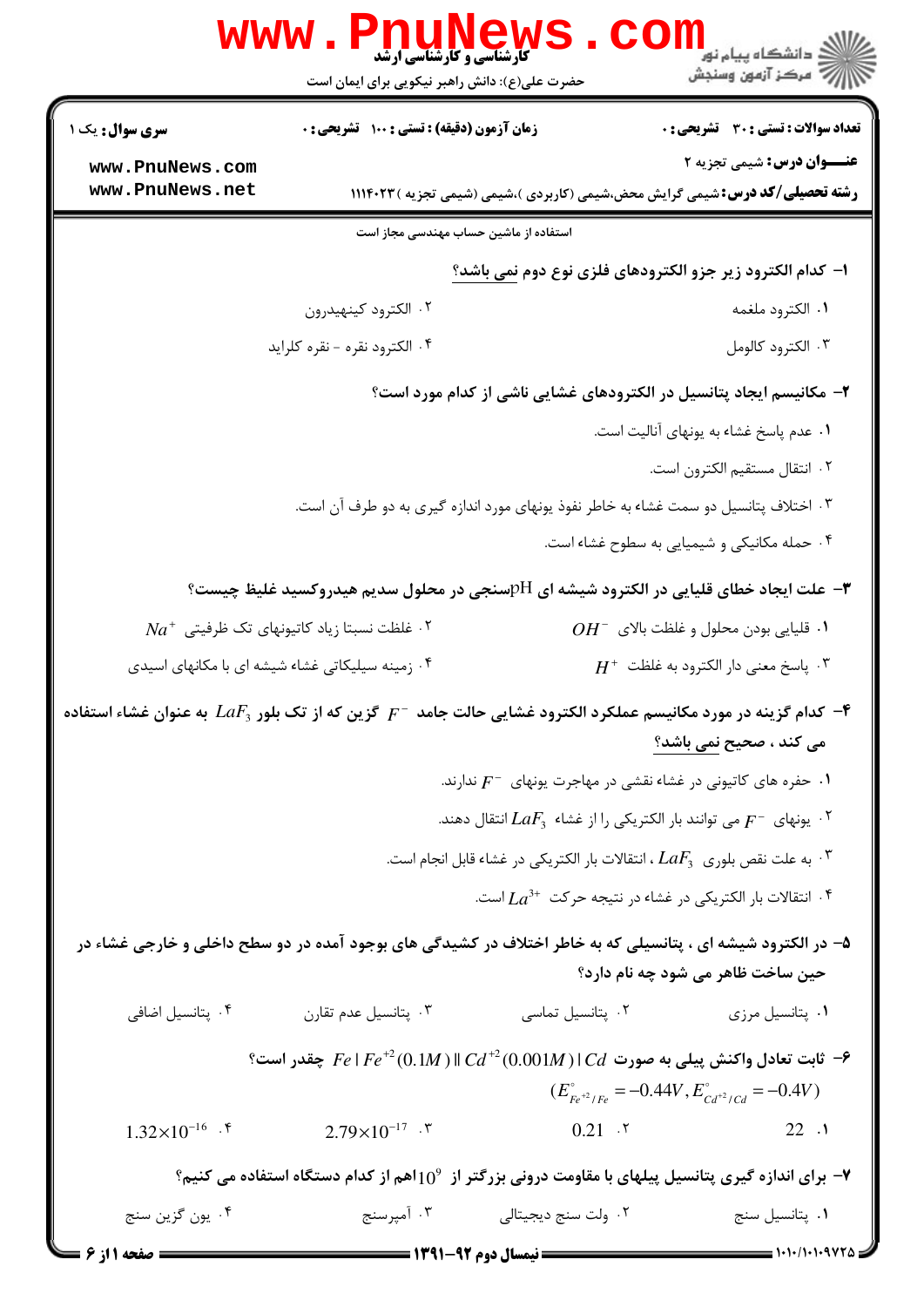| WWW                                                                                                                            | Phunew.<br><b>گارشناسی و کارشناسی ارشد</b><br>حضرت علی(ع): دانش راهبر نیکویی برای ایمان است |                                     | ڪ دانشڪاه پيام نور ■<br>۾ مرکز آزمون وسنجش                                                                                                                                                        |
|--------------------------------------------------------------------------------------------------------------------------------|---------------------------------------------------------------------------------------------|-------------------------------------|---------------------------------------------------------------------------------------------------------------------------------------------------------------------------------------------------|
| <b>سری سوال :</b> یک ۱                                                                                                         | زمان آزمون (دقیقه) : تستی : ۱۰۰ آتشریحی : ۰                                                 |                                     | <b>تعداد سوالات : تستی : 30 ٪ تشریحی : 0</b>                                                                                                                                                      |
| www.PnuNews.com<br>www.PnuNews.net                                                                                             |                                                                                             |                                     | <b>عنـــوان درس:</b> شیمی تجزیه ۲                                                                                                                                                                 |
|                                                                                                                                |                                                                                             |                                     | <b>رشته تحصیلی/کد درس:</b> شیمی گرایش محض،شیمی (کاربردی )،شیمی (شیمی تجزیه )۱۱۱۴۰۲۳                                                                                                               |
|                                                                                                                                | استفاده از ماشین حساب مهندسی مجاز است                                                       |                                     | ا- كدام الكترود زير جزو الكترودهاي فلزي نوع دوم نمي باشد؟                                                                                                                                         |
|                                                                                                                                | ۰۲ الكترود كينهيدرون                                                                        |                                     | ٠١. الكترود ملغمه                                                                                                                                                                                 |
|                                                                                                                                | ۰۴ الكترود نقره - نقره كلرايد                                                               |                                     | ۰۳ الکترود کالومل                                                                                                                                                                                 |
|                                                                                                                                |                                                                                             |                                     | ۲- مکانیسم ایجاد پتانسیل در الکترودهای غشایی ناشی از کدام مورد است؟                                                                                                                               |
|                                                                                                                                |                                                                                             |                                     | ۰۱ عدم پاسخ غشاء به یونهای آنالیت است.                                                                                                                                                            |
|                                                                                                                                |                                                                                             |                                     | ٢. انتقال مستقيم الكترون است.                                                                                                                                                                     |
|                                                                                                                                |                                                                                             |                                     | ۰۳ اختلاف پتانسیل دو سمت غشاء به خاطر نفوذ یونهای مورد اندازه گیری به دو طرف آن است.                                                                                                              |
|                                                                                                                                |                                                                                             |                                     | ۰۴ حمله مکانیکی و شیمیایی به سطوح غشاء است.                                                                                                                                                       |
|                                                                                                                                |                                                                                             |                                     | علت ایجاد خطای قلیایی در الکترود شیشه ای ${\rm pH}$ سنجی در محلول سدیم هیدروکسید غلیظ چیست؟ "                                                                                                     |
|                                                                                                                                | $Na^+$ غلظت نسبتا زیاد کاتیونهای تک ظرفیتی $^+$                                             |                                     | $OH^-$ قليايي بودن محلول و غلظت بالاي $H^-$                                                                                                                                                       |
|                                                                                                                                | ۰۴ زمینه سیلیکاتی غشاء شیشه ای با مکانهای اسیدی                                             |                                     | $H^+$ پاسخ معنی دار الکترود به غلظت $\cdot$                                                                                                                                                       |
| حاس کدام گزینه در مورد مکانیسم عملکرد الکترود غشایی حالت جامد $F^-$ گزین که از تک بلور $LaF_3$ به عنوان غشاء استفاده $\bullet$ |                                                                                             |                                     |                                                                                                                                                                                                   |
|                                                                                                                                |                                                                                             |                                     | می کند ، صحیح نمی باشد؟                                                                                                                                                                           |
|                                                                                                                                |                                                                                             |                                     | ۰۱ حفره های کاتیونی در غشاء نقشی در مهاجرت یونهای $F^-$ ندارند.                                                                                                                                   |
|                                                                                                                                |                                                                                             |                                     | ۰۲ . يونهای $F^-$ می توانند بار الکتريکی را از غشاء $LaF_3$ انتقال دهند.                                                                                                                          |
|                                                                                                                                |                                                                                             |                                     | ۰۳ . به علت نقص بلوری $\,LRF_3$ ، انتقالات بار الکتریکی در غشاء قابل انجام است.                                                                                                                   |
|                                                                                                                                |                                                                                             |                                     | ا انتقالات بار الكتريكي در غشاء در نتيجه حركت $La^{3+}$ است. $\mathfrak k$                                                                                                                        |
|                                                                                                                                |                                                                                             |                                     | ۵– در الکترود شیشه ای ، پتانسیلی که به خاطر اختلاف در کشیدگی های بوجود آمده در دو سطح داخلی و خارجی غشاء در                                                                                       |
|                                                                                                                                |                                                                                             |                                     | حین ساخت ظاهر می شود چه نام دارد؟                                                                                                                                                                 |
| ۰۴ پتانسیل اضافی                                                                                                               | ۰۳ پتانسیل عدم تقارن                                                                        | ۰۲ پتانسیل تماسی                    | ٠١. پتانسيل مرزى                                                                                                                                                                                  |
|                                                                                                                                |                                                                                             |                                     | $^{\circ}$ ثابت تعادل واکنش پیلی به صورت $C d \mid C d^{+2} (0.001 M) \mid C d \mid P$ چقدر است $^{\circ}$<br>$(E_{F_e^{\dagger 2}/F_e}^{\circ} = -0.44V, E_{Cd^{\dagger 2}/Cd}^{\circ} = -0.4V)$ |
| $1.32\times10^{-16}$ . f                                                                                                       | $2.79\times10^{-17}$ . \"                                                                   | $0.21$ . $\zeta$                    | 22.1                                                                                                                                                                                              |
|                                                                                                                                |                                                                                             |                                     | <b>-</b> برای اندازه گیری پتانسیل پیلهای با مقاومت درونی بزرگتر از 10°اهم از کدام دستگاه استفاده می کنیم؟                                                                                         |
| ۰۴ يون گزين سنج                                                                                                                |                                                                                             | ۰۲ ولت سنج دیجیتالی مستج ۲۰ آمپرسنج | ۰۱ پتانسیل سنج                                                                                                                                                                                    |
| <b>: صفحه ۱ از ۶</b>                                                                                                           | <b>: نیمسال دوم ۹۲-۱۳۹۱ <del>ــــــــــــــ</del></b>                                       |                                     |                                                                                                                                                                                                   |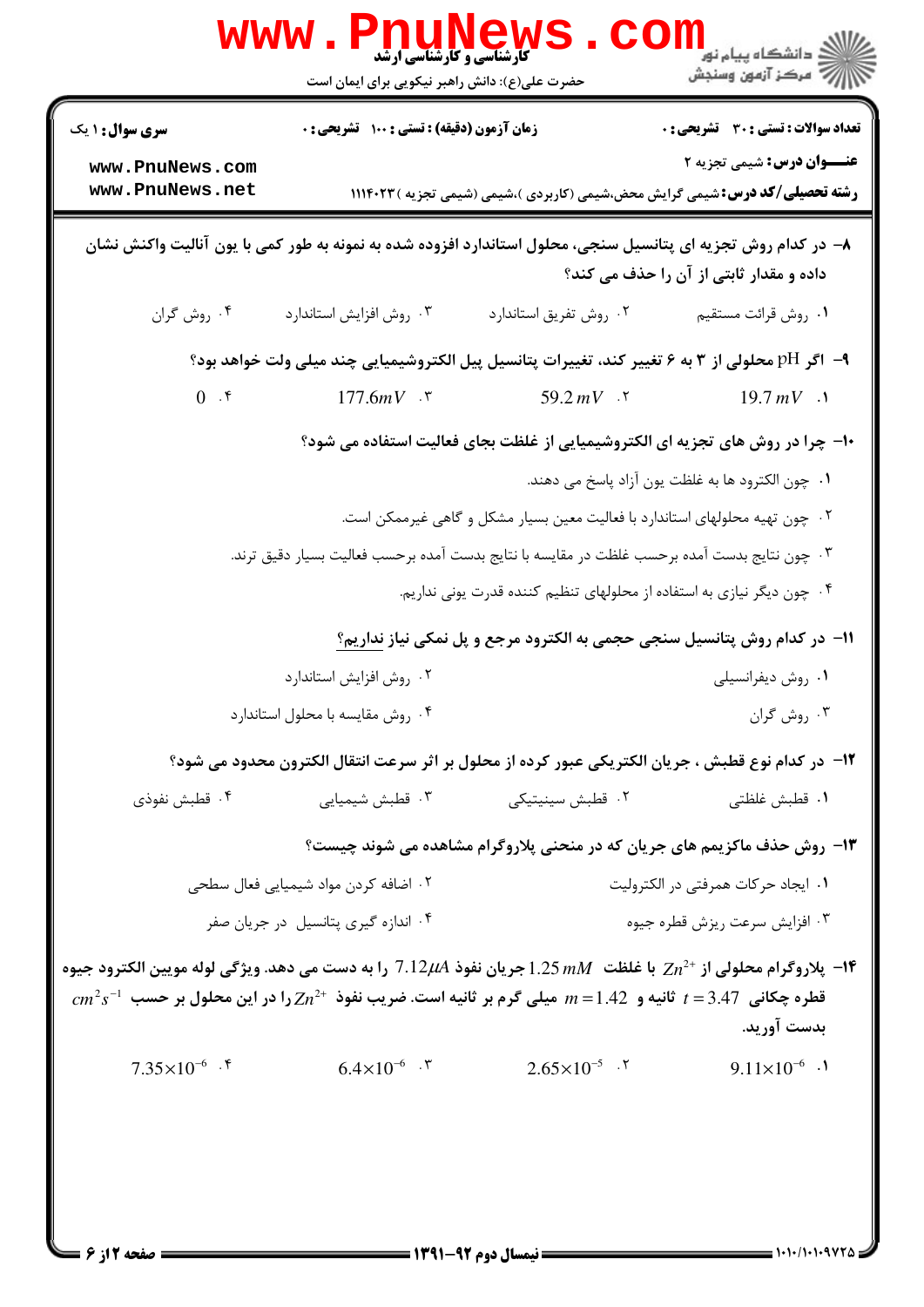|                                                                                                                                                                                                                                                               | <b>WWW .</b><br>Phunew<br><b>گارشناسی و گارشناسی ارشد</b><br>حضرت علی(ع): دانش راهبر نیکویی برای ایمان است |                                                                              |                                                                                                                          |  |
|---------------------------------------------------------------------------------------------------------------------------------------------------------------------------------------------------------------------------------------------------------------|------------------------------------------------------------------------------------------------------------|------------------------------------------------------------------------------|--------------------------------------------------------------------------------------------------------------------------|--|
| <b>سری سوال : ۱ یک</b>                                                                                                                                                                                                                                        | زمان آزمون (دقیقه) : تستی : ۱۰۰٪ تشریحی : ۰                                                                |                                                                              | <b>تعداد سوالات : تستی : 30 ٪ تشریحی : 0</b>                                                                             |  |
| www.PnuNews.com<br>www.PnuNews.net                                                                                                                                                                                                                            |                                                                                                            |                                                                              | <b>عنـــوان درس:</b> شیمی تجزیه ۲<br><b>رشته تحصیلی/کد درس:</b> شیمی گرایش محض،شیمی (کاربردی )،شیمی (شیمی تجزیه )۱۱۱۴۰۲۳ |  |
| ۸– در کدام روش تجزیه ای پتانسیل سنجی، محلول استاندارد افزوده شده به نمونه به طور کمی با یون آنالیت واکنش نشان<br>داده و مقدار ثابتی از آن را حذف می کند؟                                                                                                      |                                                                                                            |                                                                              |                                                                                                                          |  |
| ۰۴ روش گران                                                                                                                                                                                                                                                   | ۰۳ روش افزايش استاندارد                                                                                    | ۰۲ روش تفریق استاندارد                                                       | ٠١ روش قرائت مستقيم                                                                                                      |  |
| ۹–  اگر pH محلولی از ۳ به ۶ تغییر کند، تغییرات پتانسیل پیل الکتروشیمیایی چند میلی ولت خواهد بود؟                                                                                                                                                              |                                                                                                            |                                                                              |                                                                                                                          |  |
| 0.5                                                                                                                                                                                                                                                           | 177.6mV $\cdot$ $\cdot$                                                                                    | 59.2 $mV$ . $\tau$                                                           | $19.7 \, mV$ .                                                                                                           |  |
|                                                                                                                                                                                                                                                               |                                                                                                            |                                                                              | <b>۱۰</b> - چرا در روش های تجزیه ای الکتروشیمیایی از غلظت بجای فعالیت استفاده می شود؟                                    |  |
|                                                                                                                                                                                                                                                               |                                                                                                            |                                                                              | ٠١. چون الكترود ها به غلظت يون آزاد پاسخ مى دهند.                                                                        |  |
|                                                                                                                                                                                                                                                               |                                                                                                            | ۰۲ چون تهیه محلولهای استاندارد با فعالیت معین بسیار مشکل و گاهی غیرممکن است. |                                                                                                                          |  |
|                                                                                                                                                                                                                                                               | ۰۳ چون نتایج بدست آمده برحسب غلظت در مقایسه با نتایج بدست آمده برحسب فعالیت بسیار دقیق ترند.               |                                                                              |                                                                                                                          |  |
|                                                                                                                                                                                                                                                               |                                                                                                            | ۰۴ چون دیگر نیازی به استفاده از محلولهای تنظیم کننده قدرت یونی نداریم.       |                                                                                                                          |  |
|                                                                                                                                                                                                                                                               |                                                                                                            |                                                                              | ۱۱− در کدام روش پتانسیل سنجی حجمی به الکترود مرجع و پل نمکی نیاز نداریم <u>؟</u>                                         |  |
|                                                                                                                                                                                                                                                               | ۰۲ روش افزایش استاندارد                                                                                    |                                                                              | ۰۱ روش دیفرانسیلی                                                                                                        |  |
|                                                                                                                                                                                                                                                               | ۰۴ روش مقایسه با محلول استاندارد                                                                           |                                                                              | ۰۳ روش گران                                                                                                              |  |
|                                                                                                                                                                                                                                                               |                                                                                                            |                                                                              | 1۲– در کدام نوع قطبش ، جریان الکتریکی عبور کرده از محلول بر اثر سرعت انتقال الکترون محدود می شود؟                        |  |
| ۰۴ قطبش نفوذی                                                                                                                                                                                                                                                 | ۰۳ قطبش شیمیایی                                                                                            | ۰۲ قطبش سینیتیکی                                                             | ٠١. قطبش غلظتى                                                                                                           |  |
|                                                                                                                                                                                                                                                               |                                                                                                            |                                                                              | ۱۳- روش حذف ماکزیمم های جریان که در منحنی پلاروگرام مشاهده می شوند چیست؟                                                 |  |
|                                                                                                                                                                                                                                                               | ۰۲ اضافه کردن مواد شیمیایی فعال سطحی                                                                       |                                                                              | ۰۱ ایجاد حرکات همرفتی در الکترولیت                                                                                       |  |
|                                                                                                                                                                                                                                                               | ۰۴ اندازه گیری پتانسیل در جریان صفر                                                                        |                                                                              | ۰۳ افزایش سرعت ریزش قطره جیوه                                                                                            |  |
| ا- پلاروگرام محلولی از +2 $Zn^2$ با غلظت $M$ 1.25 جریان نفوذ 7.12 را به دست می دهد. ویژگی لوله مویین الکترود جیوه<br>$cm^2$ یس 25.47 $t=1.42$ تانیه و 1.42 $m=1.42$ میلی گرم بر ثانیه است. ضریب نفوذ $Zn^{2+}$ را در این محلول بر حسب $t=3.47$<br>بدست آوريد. |                                                                                                            |                                                                              |                                                                                                                          |  |
| $7.35\times10^{-6}$ .                                                                                                                                                                                                                                         | $6.4 \times 10^{-6}$ . \"                                                                                  | $2.65 \times 10^{-5}$ .                                                      | $9.11 \times 10^{-6}$ .                                                                                                  |  |
|                                                                                                                                                                                                                                                               |                                                                                                            |                                                                              |                                                                                                                          |  |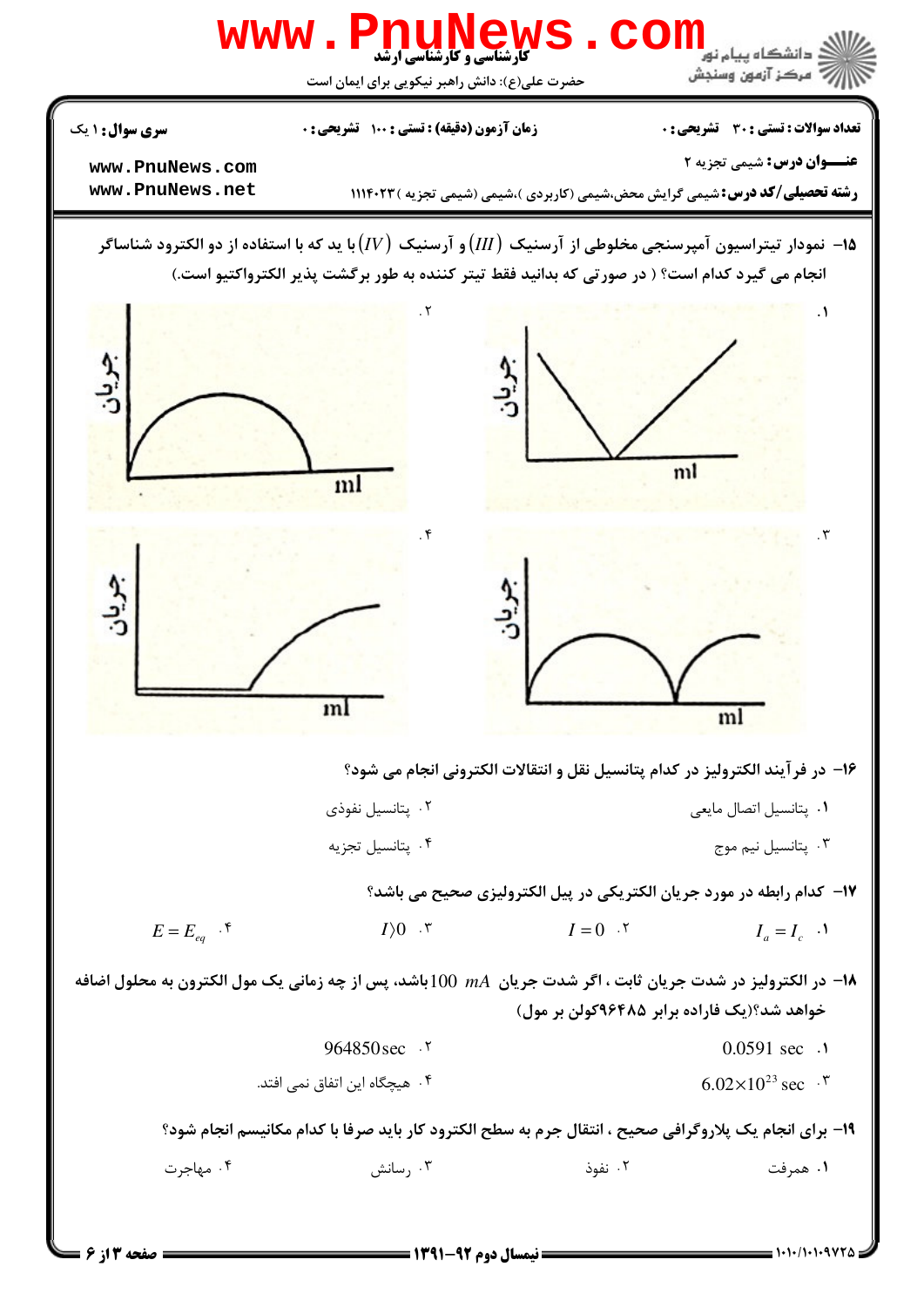

 $= 1.1.11.1.997 \Delta$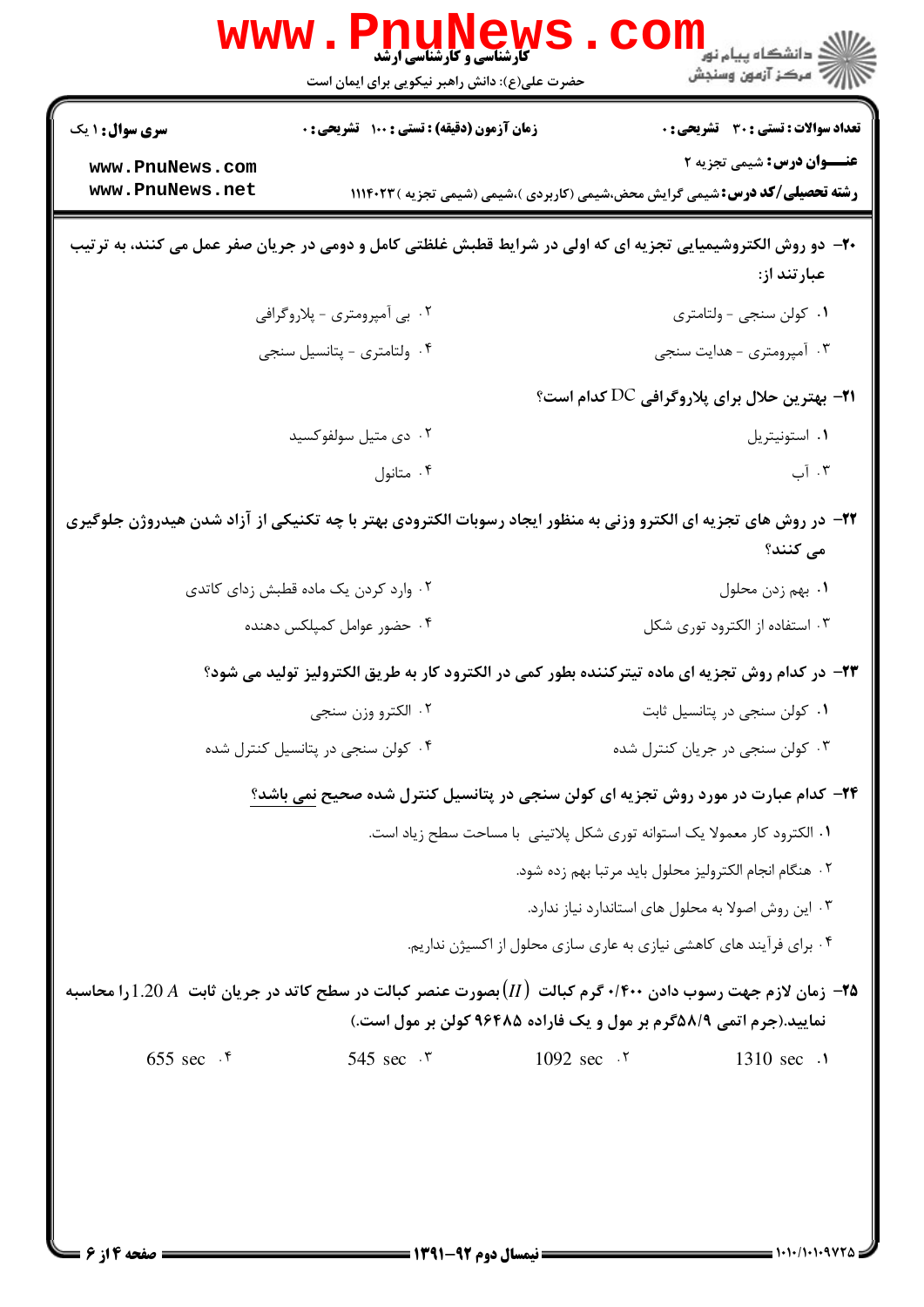|                                                                                                                              | www.PnuNews<br><b>کارشناسی و کارشناسی ارشد</b>                                                                                                                                          |                                                                           | ڪ دانشڪاه پيا <sub>م</sub> نور<br><mark>√</mark> مرڪز آزمون وسنڊش                   |  |  |
|------------------------------------------------------------------------------------------------------------------------------|-----------------------------------------------------------------------------------------------------------------------------------------------------------------------------------------|---------------------------------------------------------------------------|-------------------------------------------------------------------------------------|--|--|
|                                                                                                                              | حضرت علی(ع): دانش راهبر نیکویی برای ایمان است                                                                                                                                           |                                                                           |                                                                                     |  |  |
| <b>سری سوال : ۱ یک</b>                                                                                                       | زمان آزمون (دقیقه) : تستی : ۱۰۰ آتشریحی : ۰                                                                                                                                             |                                                                           | <b>تعداد سوالات : تستی : 30 ٪ تشریحی : 0</b>                                        |  |  |
| www.PnuNews.com                                                                                                              |                                                                                                                                                                                         |                                                                           | <b>عنـــوان درس:</b> شیمی تجزیه ۲                                                   |  |  |
| www.PnuNews.net                                                                                                              |                                                                                                                                                                                         |                                                                           | <b>رشته تحصیلی/کد درس:</b> شیمی گرایش محض،شیمی (کاربردی )،شیمی (شیمی تجزیه )۱۱۱۴۰۲۳ |  |  |
| +۲- دو روش الکتروشیمیایی تجزیه ای که اولی در شرایط قطبش غلظتی کامل و دومی در جریان صفر عمل می کنند، به ترتیب<br>عبارتند از:  |                                                                                                                                                                                         |                                                                           |                                                                                     |  |  |
|                                                                                                                              | ۰۲ بی آمپرومتری - پلاروگرافی                                                                                                                                                            |                                                                           | ۰۱ کولن سنجی - ولتامتری                                                             |  |  |
|                                                                                                                              | ۰۴ ولتامتري - پتانسيل سنجي                                                                                                                                                              |                                                                           | ۰۳ آمپرومتری - هدایت سنجی                                                           |  |  |
|                                                                                                                              | <b>۲۱</b> - بهترین حلال برای پلاروگرافی DC کدام است؟                                                                                                                                    |                                                                           |                                                                                     |  |  |
|                                                                                                                              | ۰۲ دی متیل سولفوکسید                                                                                                                                                                    |                                                                           | ٠١ استونيتريل                                                                       |  |  |
|                                                                                                                              | ۰۴ متانول                                                                                                                                                                               |                                                                           | ۰۳ آب                                                                               |  |  |
| ۲۲– در روش های تجزیه ای الکترو وزنی به منظور ایجاد رسوبات الکترودی بهتر با چه تکنیکی از آزاد شدن هیدروژن جلوگیری<br>می کنند؟ |                                                                                                                                                                                         |                                                                           |                                                                                     |  |  |
|                                                                                                                              | ۰۲ وارد کردن یک ماده قطبش زدای کاتدی                                                                                                                                                    |                                                                           | ٠١ بهم زدن محلول                                                                    |  |  |
|                                                                                                                              | ۰۴ حضور عوامل کمپلکس دهنده                                                                                                                                                              |                                                                           | ۰۳ استفاده از الکترود توری شکل                                                      |  |  |
|                                                                                                                              | ۲۳– در کدام روش تجزیه ای ماده تیترکننده بطور کمی در الکترود کار به طریق الکترولیز تولید می شود؟                                                                                         |                                                                           |                                                                                     |  |  |
|                                                                                                                              | ۰۲ الکترو وزن سنجي                                                                                                                                                                      |                                                                           | ۰۱ کولن سنجی در پتانسیل ثابت                                                        |  |  |
|                                                                                                                              | ۰۴ کولن سنجی در پتانسیل کنترل شده                                                                                                                                                       |                                                                           | ۰۳ کولن سنجی در جریان کنترل شده                                                     |  |  |
|                                                                                                                              | ۲۴- کدام عبارت در مورد روش تجزیه ای کولن سنجی در پتانسیل کنترل شده صحیح نمی باشد؟                                                                                                       |                                                                           |                                                                                     |  |  |
|                                                                                                                              |                                                                                                                                                                                         | ٠١ الكترود كار معمولا يک استوانه توري شكل پلاتيني  با مساحت سطح زياد است. |                                                                                     |  |  |
|                                                                                                                              |                                                                                                                                                                                         |                                                                           | ٠٢ هنگام انجام الكتروليز محلول بايد مرتبا بهم زده شود.                              |  |  |
|                                                                                                                              |                                                                                                                                                                                         |                                                                           | ۰۳ این روش اصولا به محلول های استاندارد نیاز ندارد.                                 |  |  |
|                                                                                                                              |                                                                                                                                                                                         | ۰۴ برای فرآیند های کاهشی نیازی به عاری سازی محلول از اکسیژن نداریم.       |                                                                                     |  |  |
|                                                                                                                              | ه۲- زمان لازم جهت رسوب دادن ۰/۴۰۰ گرم کبالت $(II)$ بصورت عنصر کبالت در سطح کاتد در جریان ثابت $A$ 1.20 را محاسبه<br>نمایید.(جرم اتمی ۵۸/۹گرم بر مول و یک فاراده ۹۶۴۸۵ کولن بر مول است.) |                                                                           |                                                                                     |  |  |
| 655 sec $.5$                                                                                                                 | 545 sec $.5$                                                                                                                                                                            | 1092 sec .v                                                               | 1310 sec .1                                                                         |  |  |
|                                                                                                                              |                                                                                                                                                                                         |                                                                           |                                                                                     |  |  |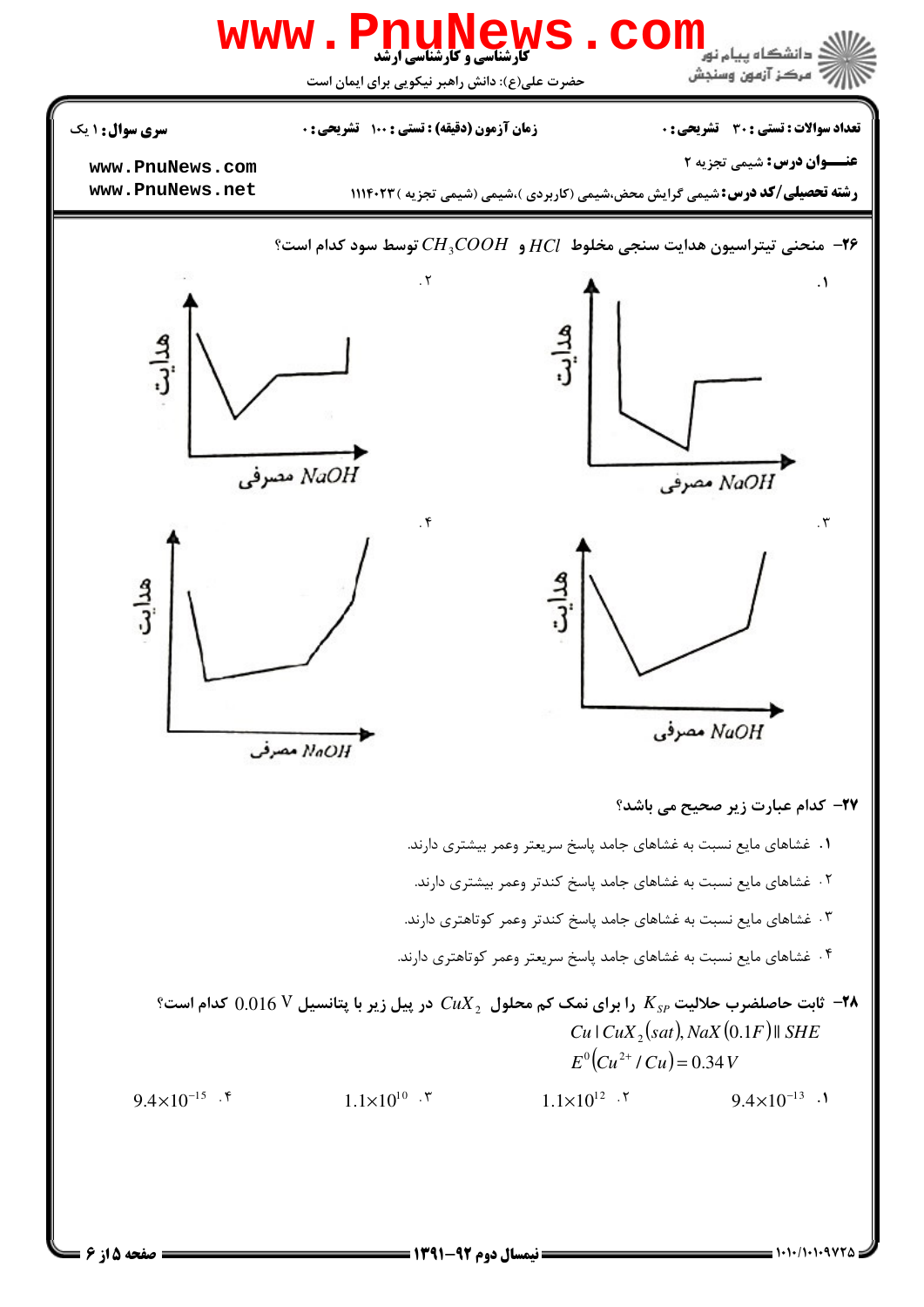